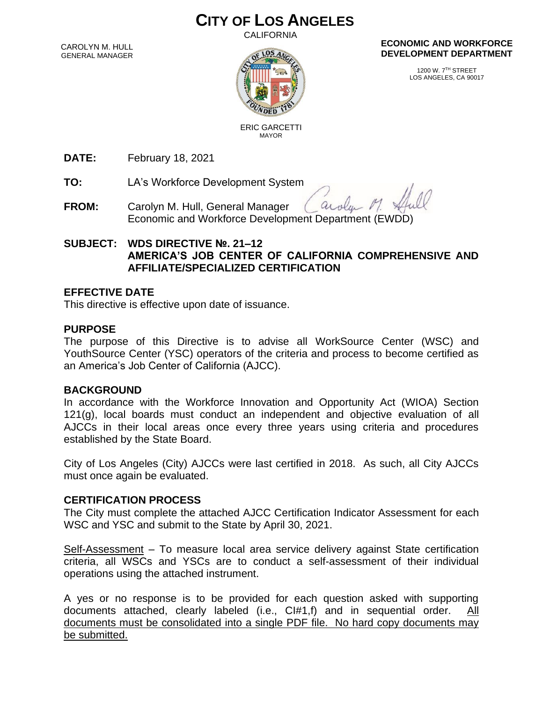# **CITY OF LOS ANGELES**

**CALIFORNIA** 

CAROLYN M. HULL GENERAL MANAGER



#### **ECONOMIC AND WORKFORCE DEVELOPMENT DEPARTMENT**

1200 W. 7TH STREET LOS ANGELES, CA 90017

 ERIC GARCETTI MAYOR

**DATE:** February 18, 2021

**TO:** LA's Workforce Development System

arola **FROM:** Carolyn M. Hull, General Manager Economic and Workforce Development Department (EWDD)

### **SUBJECT: WDS DIRECTIVE №. 21–12 AMERICA'S JOB CENTER OF CALIFORNIA COMPREHENSIVE AND AFFILIATE/SPECIALIZED CERTIFICATION**

#### **EFFECTIVE DATE**

This directive is effective upon date of issuance.

#### **PURPOSE**

The purpose of this Directive is to advise all WorkSource Center (WSC) and YouthSource Center (YSC) operators of the criteria and process to become certified as an America's Job Center of California (AJCC).

#### **BACKGROUND**

In accordance with the Workforce Innovation and Opportunity Act (WIOA) Section 121(g), local boards must conduct an independent and objective evaluation of all AJCCs in their local areas once every three years using criteria and procedures established by the State Board.

City of Los Angeles (City) AJCCs were last certified in 2018. As such, all City AJCCs must once again be evaluated.

#### **CERTIFICATION PROCESS**

The City must complete the attached AJCC Certification Indicator Assessment for each WSC and YSC and submit to the State by April 30, 2021.

Self-Assessment – To measure local area service delivery against State certification criteria, all WSCs and YSCs are to conduct a self-assessment of their individual operations using the attached instrument.

A yes or no response is to be provided for each question asked with supporting documents attached, clearly labeled (i.e., CI#1,f) and in sequential order. documents must be consolidated into a single PDF file. No hard copy documents may be submitted.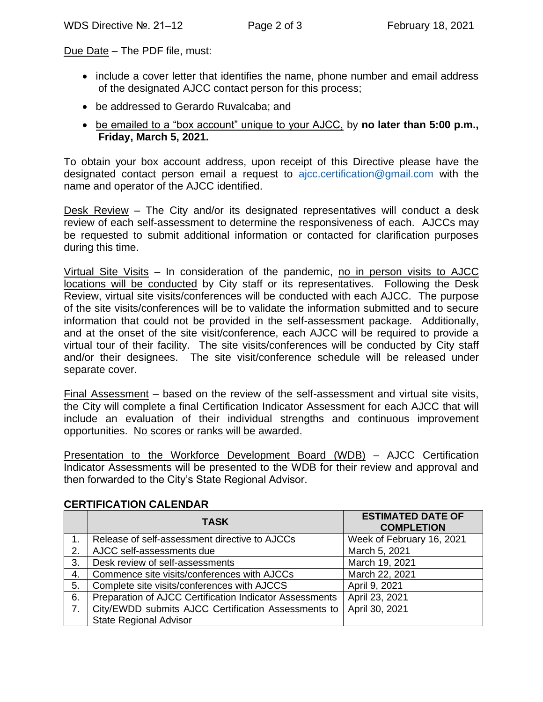Due Date - The PDF file, must:

- include a cover letter that identifies the name, phone number and email address of the designated AJCC contact person for this process;
- be addressed to Gerardo Ruvalcaba; and
- be emailed to a "box account" unique to your AJCC, by **no later than 5:00 p.m., Friday, March 5, 2021.**

To obtain your box account address, upon receipt of this Directive please have the designated contact person email a request to  $a$  *jcc.certification* @gmail.com with the name and operator of the AJCC identified.

Desk Review – The City and/or its designated representatives will conduct a desk review of each self-assessment to determine the responsiveness of each. AJCCs may be requested to submit additional information or contacted for clarification purposes during this time.

Virtual Site Visits – In consideration of the pandemic, no in person visits to AJCC locations will be conducted by City staff or its representatives. Following the Desk Review, virtual site visits/conferences will be conducted with each AJCC. The purpose of the site visits/conferences will be to validate the information submitted and to secure information that could not be provided in the self-assessment package. Additionally, and at the onset of the site visit/conference, each AJCC will be required to provide a virtual tour of their facility. The site visits/conferences will be conducted by City staff and/or their designees. The site visit/conference schedule will be released under separate cover.

Final Assessment – based on the review of the self-assessment and virtual site visits, the City will complete a final Certification Indicator Assessment for each AJCC that will include an evaluation of their individual strengths and continuous improvement opportunities. No scores or ranks will be awarded.

Presentation to the Workforce Development Board (WDB) – AJCC Certification Indicator Assessments will be presented to the WDB for their review and approval and then forwarded to the City's State Regional Advisor.

|    | <b>TASK</b>                                             | <b>ESTIMATED DATE OF</b><br><b>COMPLETION</b> |
|----|---------------------------------------------------------|-----------------------------------------------|
|    | Release of self-assessment directive to AJCCs           | Week of February 16, 2021                     |
| 2. | AJCC self-assessments due                               | March 5, 2021                                 |
| 3. | Desk review of self-assessments                         | March 19, 2021                                |
| 4. | Commence site visits/conferences with AJCCs             | March 22, 2021                                |
| 5. | Complete site visits/conferences with AJCCS             | April 9, 2021                                 |
| 6. | Preparation of AJCC Certification Indicator Assessments | April 23, 2021                                |
| 7. | City/EWDD submits AJCC Certification Assessments to     | April 30, 2021                                |
|    | <b>State Regional Advisor</b>                           |                                               |

#### **CERTIFICATION CALENDAR**